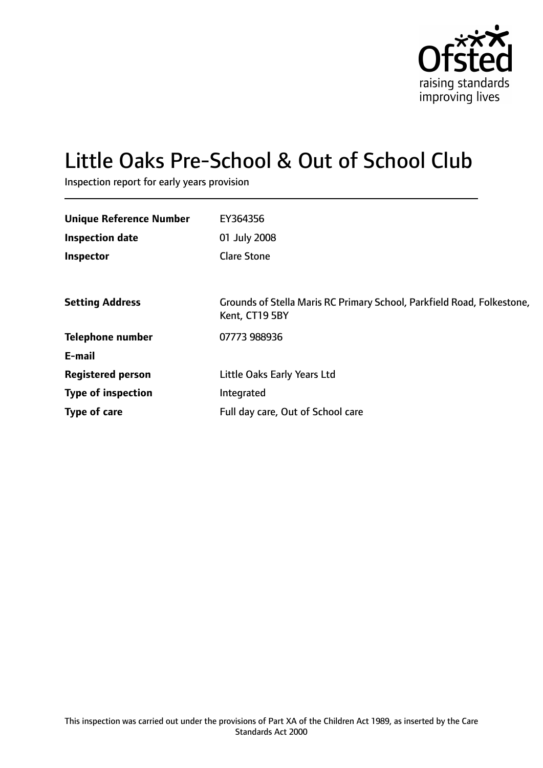

# Little Oaks Pre-School & Out of School Club

Inspection report for early years provision

| <b>Unique Reference Number</b> | EY364356                                                                                 |
|--------------------------------|------------------------------------------------------------------------------------------|
| <b>Inspection date</b>         | 01 July 2008                                                                             |
| Inspector                      | <b>Clare Stone</b>                                                                       |
|                                |                                                                                          |
| <b>Setting Address</b>         | Grounds of Stella Maris RC Primary School, Parkfield Road, Folkestone,<br>Kent, CT19 5BY |
| <b>Telephone number</b>        | 07773 988936                                                                             |
| E-mail                         |                                                                                          |
| <b>Registered person</b>       | Little Oaks Early Years Ltd                                                              |
| <b>Type of inspection</b>      | Integrated                                                                               |
| Type of care                   | Full day care, Out of School care                                                        |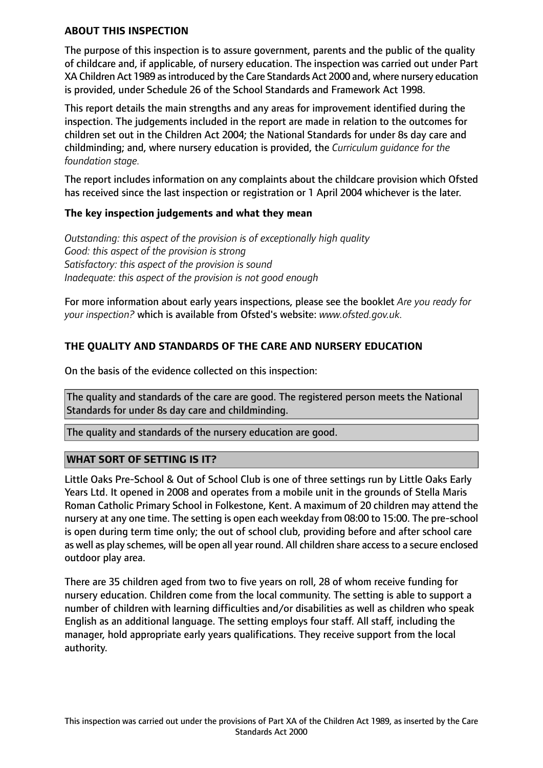#### **ABOUT THIS INSPECTION**

The purpose of this inspection is to assure government, parents and the public of the quality of childcare and, if applicable, of nursery education. The inspection was carried out under Part XA Children Act 1989 asintroduced by the Care Standards Act 2000 and, where nursery education is provided, under Schedule 26 of the School Standards and Framework Act 1998.

This report details the main strengths and any areas for improvement identified during the inspection. The judgements included in the report are made in relation to the outcomes for children set out in the Children Act 2004; the National Standards for under 8s day care and childminding; and, where nursery education is provided, the *Curriculum guidance for the foundation stage.*

The report includes information on any complaints about the childcare provision which Ofsted has received since the last inspection or registration or 1 April 2004 whichever is the later.

## **The key inspection judgements and what they mean**

*Outstanding: this aspect of the provision is of exceptionally high quality Good: this aspect of the provision is strong Satisfactory: this aspect of the provision is sound Inadequate: this aspect of the provision is not good enough*

For more information about early years inspections, please see the booklet *Are you ready for your inspection?* which is available from Ofsted's website: *www.ofsted.gov.uk.*

# **THE QUALITY AND STANDARDS OF THE CARE AND NURSERY EDUCATION**

On the basis of the evidence collected on this inspection:

The quality and standards of the care are good. The registered person meets the National Standards for under 8s day care and childminding.

The quality and standards of the nursery education are good.

## **WHAT SORT OF SETTING IS IT?**

Little Oaks Pre-School & Out of School Club is one of three settings run by Little Oaks Early Years Ltd. It opened in 2008 and operates from a mobile unit in the grounds of Stella Maris Roman Catholic Primary School in Folkestone, Kent. A maximum of 20 children may attend the nursery at any one time. The setting is open each weekday from 08:00 to 15:00. The pre-school is open during term time only; the out of school club, providing before and after school care as well as play schemes, will be open all year round. All children share accessto a secure enclosed outdoor play area.

There are 35 children aged from two to five years on roll, 28 of whom receive funding for nursery education. Children come from the local community. The setting is able to support a number of children with learning difficulties and/or disabilities as well as children who speak English as an additional language. The setting employs four staff. All staff, including the manager, hold appropriate early years qualifications. They receive support from the local authority.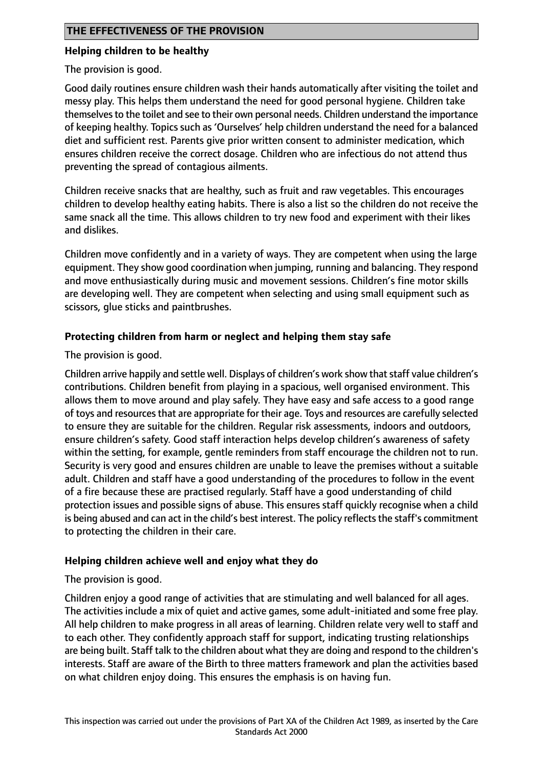## **Helping children to be healthy**

The provision is good.

Good daily routines ensure children wash their hands automatically after visiting the toilet and messy play. This helps them understand the need for good personal hygiene. Children take themselves to the toilet and see to their own personal needs. Children understand the importance of keeping healthy. Topics such as 'Ourselves' help children understand the need for a balanced diet and sufficient rest. Parents give prior written consent to administer medication, which ensures children receive the correct dosage. Children who are infectious do not attend thus preventing the spread of contagious ailments.

Children receive snacks that are healthy, such as fruit and raw vegetables. This encourages children to develop healthy eating habits. There is also a list so the children do not receive the same snack all the time. This allows children to try new food and experiment with their likes and dislikes.

Children move confidently and in a variety of ways. They are competent when using the large equipment. They show good coordination when jumping, running and balancing. They respond and move enthusiastically during music and movement sessions. Children's fine motor skills are developing well. They are competent when selecting and using small equipment such as scissors, glue sticks and paintbrushes.

# **Protecting children from harm or neglect and helping them stay safe**

The provision is good.

Children arrive happily and settle well. Displays of children's work show that staff value children's contributions. Children benefit from playing in a spacious, well organised environment. This allows them to move around and play safely. They have easy and safe access to a good range of toys and resources that are appropriate for their age. Toys and resources are carefully selected to ensure they are suitable for the children. Regular risk assessments, indoors and outdoors, ensure children's safety. Good staff interaction helps develop children's awareness of safety within the setting, for example, gentle reminders from staff encourage the children not to run. Security is very good and ensures children are unable to leave the premises without a suitable adult. Children and staff have a good understanding of the procedures to follow in the event of a fire because these are practised regularly. Staff have a good understanding of child protection issues and possible signs of abuse. This ensures staff quickly recognise when a child is being abused and can act in the child's best interest. The policy reflects the staff's commitment to protecting the children in their care.

## **Helping children achieve well and enjoy what they do**

The provision is good.

Children enjoy a good range of activities that are stimulating and well balanced for all ages. The activities include a mix of quiet and active games, some adult-initiated and some free play. All help children to make progress in all areas of learning. Children relate very well to staff and to each other. They confidently approach staff for support, indicating trusting relationships are being built. Staff talk to the children about what they are doing and respond to the children's interests. Staff are aware of the Birth to three matters framework and plan the activities based on what children enjoy doing. This ensures the emphasis is on having fun.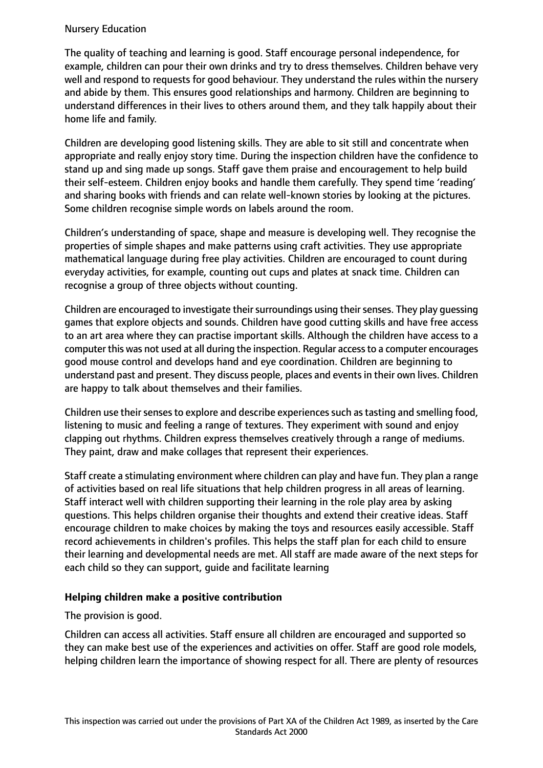## Nursery Education

The quality of teaching and learning is good. Staff encourage personal independence, for example, children can pour their own drinks and try to dress themselves. Children behave very well and respond to requests for good behaviour. They understand the rules within the nursery and abide by them. This ensures good relationships and harmony. Children are beginning to understand differences in their lives to others around them, and they talk happily about their home life and family.

Children are developing good listening skills. They are able to sit still and concentrate when appropriate and really enjoy story time. During the inspection children have the confidence to stand up and sing made up songs. Staff gave them praise and encouragement to help build their self-esteem. Children enjoy books and handle them carefully. They spend time 'reading' and sharing books with friends and can relate well-known stories by looking at the pictures. Some children recognise simple words on labels around the room.

Children's understanding of space, shape and measure is developing well. They recognise the properties of simple shapes and make patterns using craft activities. They use appropriate mathematical language during free play activities. Children are encouraged to count during everyday activities, for example, counting out cups and plates at snack time. Children can recognise a group of three objects without counting.

Children are encouraged to investigate their surroundings using their senses. They play guessing games that explore objects and sounds. Children have good cutting skills and have free access to an art area where they can practise important skills. Although the children have access to a computer this was not used at all during the inspection. Regular accessto a computer encourages good mouse control and develops hand and eye coordination. Children are beginning to understand past and present. They discuss people, places and events in their own lives. Children are happy to talk about themselves and their families.

Children use their senses to explore and describe experiences such as tasting and smelling food, listening to music and feeling a range of textures. They experiment with sound and enjoy clapping out rhythms. Children express themselves creatively through a range of mediums. They paint, draw and make collages that represent their experiences.

Staff create a stimulating environment where children can play and have fun. They plan a range of activities based on real life situations that help children progress in all areas of learning. Staff interact well with children supporting their learning in the role play area by asking questions. This helps children organise their thoughts and extend their creative ideas. Staff encourage children to make choices by making the toys and resources easily accessible. Staff record achievements in children's profiles. This helps the staff plan for each child to ensure their learning and developmental needs are met. All staff are made aware of the next steps for each child so they can support, guide and facilitate learning

## **Helping children make a positive contribution**

The provision is good.

Children can access all activities. Staff ensure all children are encouraged and supported so they can make best use of the experiences and activities on offer. Staff are good role models, helping children learn the importance of showing respect for all. There are plenty of resources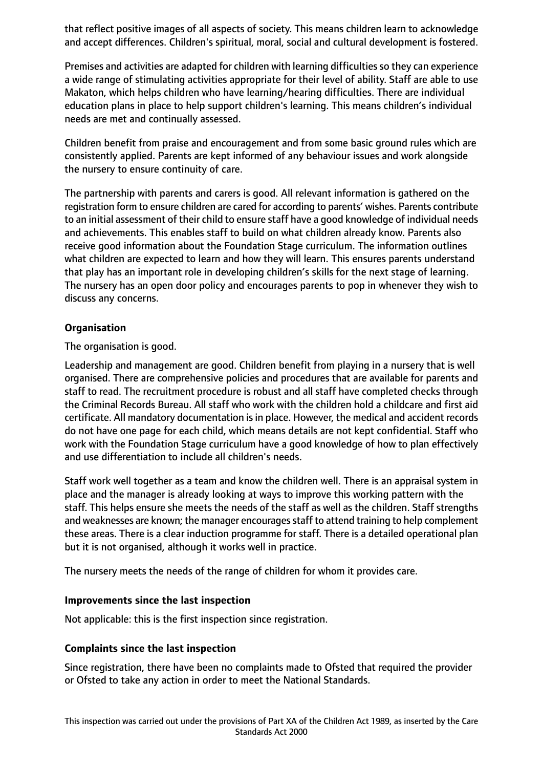that reflect positive images of all aspects of society. This means children learn to acknowledge and accept differences. Children's spiritual, moral, social and cultural development is fostered.

Premises and activities are adapted for children with learning difficulties so they can experience a wide range of stimulating activities appropriate for their level of ability. Staff are able to use Makaton, which helps children who have learning/hearing difficulties. There are individual education plans in place to help support children's learning. This means children's individual needs are met and continually assessed.

Children benefit from praise and encouragement and from some basic ground rules which are consistently applied. Parents are kept informed of any behaviour issues and work alongside the nursery to ensure continuity of care.

The partnership with parents and carers is good. All relevant information is gathered on the registration form to ensure children are cared for according to parents' wishes. Parents contribute to an initial assessment of their child to ensure staff have a good knowledge of individual needs and achievements. This enables staff to build on what children already know. Parents also receive good information about the Foundation Stage curriculum. The information outlines what children are expected to learn and how they will learn. This ensures parents understand that play has an important role in developing children's skills for the next stage of learning. The nursery has an open door policy and encourages parents to pop in whenever they wish to discuss any concerns.

## **Organisation**

The organisation is good.

Leadership and management are good. Children benefit from playing in a nursery that is well organised. There are comprehensive policies and procedures that are available for parents and staff to read. The recruitment procedure is robust and all staff have completed checks through the Criminal Records Bureau. All staff who work with the children hold a childcare and first aid certificate. All mandatory documentation is in place. However, the medical and accident records do not have one page for each child, which means details are not kept confidential. Staff who work with the Foundation Stage curriculum have a good knowledge of how to plan effectively and use differentiation to include all children's needs.

Staff work well together as a team and know the children well. There is an appraisal system in place and the manager is already looking at ways to improve this working pattern with the staff. This helps ensure she meets the needs of the staff as well as the children. Staff strengths and weaknesses are known; the manager encourages staff to attend training to help complement these areas. There is a clear induction programme for staff. There is a detailed operational plan but it is not organised, although it works well in practice.

The nursery meets the needs of the range of children for whom it provides care.

## **Improvements since the last inspection**

Not applicable: this is the first inspection since registration.

## **Complaints since the last inspection**

Since registration, there have been no complaints made to Ofsted that required the provider or Ofsted to take any action in order to meet the National Standards.